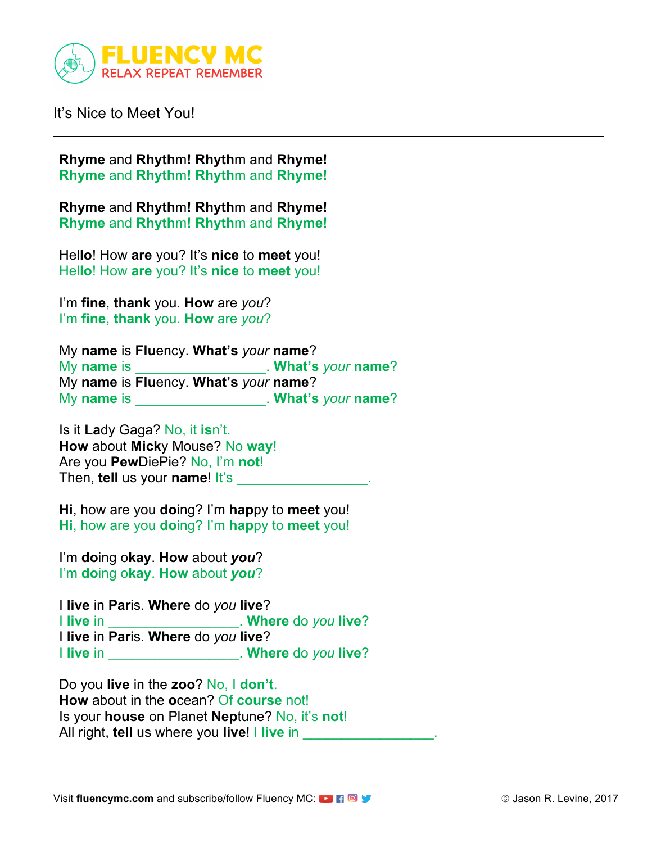

It's Nice to Meet You!

| Rhyme and Rhythm! Rhythm and Rhyme!<br>Rhyme and Rhythm! Rhythm and Rhyme!                                                                                                       |
|----------------------------------------------------------------------------------------------------------------------------------------------------------------------------------|
| Rhyme and Rhythm! Rhythm and Rhyme!<br>Rhyme and Rhythm! Rhythm and Rhyme!                                                                                                       |
| Hello! How are you? It's nice to meet you!<br>Hello! How are you? It's nice to meet you!                                                                                         |
| I'm fine, thank you. How are you?<br>I'm fine, thank you. How are you?                                                                                                           |
| My name is Fluency. What's your name?                                                                                                                                            |
|                                                                                                                                                                                  |
| My name is _____________________. What's your name?<br>My name is Fluency. What's your name?                                                                                     |
| My name is ______________________. What's your name?                                                                                                                             |
| Is it Lady Gaga? No, it isn't.<br>How about Micky Mouse? No way!<br>Are you PewDiePie? No, I'm not!<br>Then, tell us your name! It's                                             |
| Hi, how are you doing? I'm happy to meet you!<br>Hi, how are you doing? I'm happy to meet you!                                                                                   |
| I'm doing okay. How about you?                                                                                                                                                   |
| I'm doing okay. How about you?                                                                                                                                                   |
| I live in Paris. Where do you live?<br>. Where do you live?<br>I live in Paris. Where do you live?<br>I live in ____________________. Where do you live?                         |
| Do you live in the zoo? No, I don't.<br>How about in the ocean? Of course not!<br>Is your house on Planet Neptune? No, it's not!<br>All right, tell us where you live! I live in |